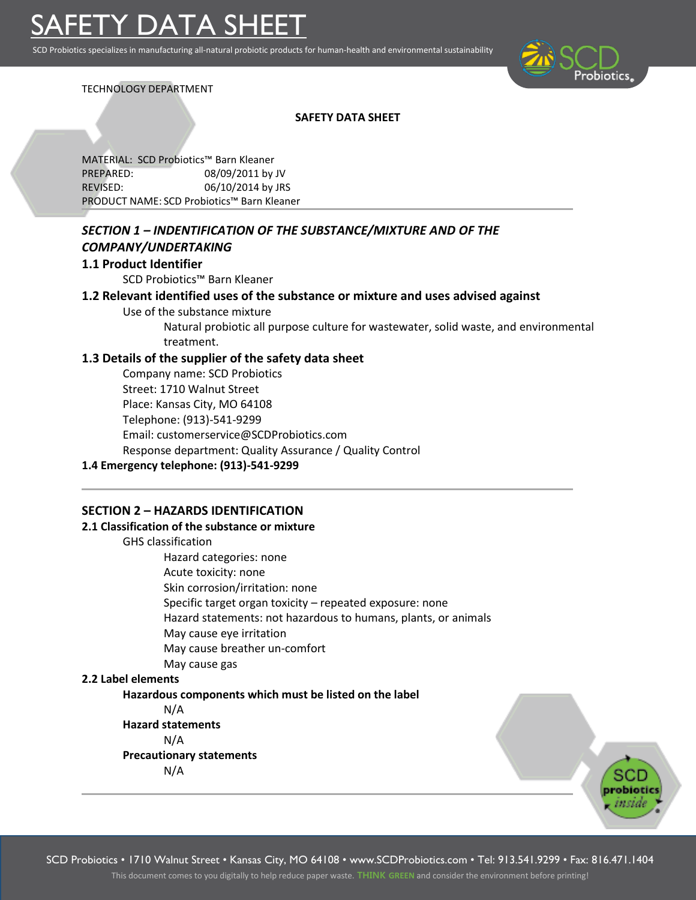SCD Probiotics specializes in manufacturing all-natural probiotic products for human-health and environmental sustainability



## TECHNOLOGY DEPARTMENT

## **SAFETY DATA SHEET**

MATERIAL: SCD Probiotics™ Barn Kleaner PREPARED: 08/09/2011 by JV REVISED: 06/10/2014 by JRS PRODUCT NAME: SCD Probiotics™ Barn Kleaner

# *SECTION 1 – INDENTIFICATION OF THE SUBSTANCE/MIXTURE AND OF THE COMPANY/UNDERTAKING*

## **1.1 Product Identifier**

SCD Probiotics™ Barn Kleaner

## **1.2 Relevant identified uses of the substance or mixture and uses advised against**

Use of the substance mixture

Natural probiotic all purpose culture for wastewater, solid waste, and environmental treatment.

## **1.3 Details of the supplier of the safety data sheet**

Company name: SCD Probiotics Street: 1710 Walnut Street Place: Kansas City, MO 64108 Telephone: (913)-541-9299 Email: customerservice@SCDProbiotics.com Response department: Quality Assurance / Quality Control

## **1.4 Emergency telephone: (913)-541-9299**

## **SECTION 2 – HAZARDS IDENTIFICATION**

## **2.1 Classification of the substance or mixture**

GHS classification Hazard categories: none Acute toxicity: none Skin corrosion/irritation: none Specific target organ toxicity – repeated exposure: none Hazard statements: not hazardous to humans, plants, or animals May cause eye irritation May cause breather un-comfort May cause gas

## **2.2 Label elements**

## **Hazardous components which must be listed on the label**

N/A

**Hazard statements** N/A **Precautionary statements**

N/A

SCD Probiotics • 1710 Walnut Street • Kansas City, MO 64108 • www.SCDProbiotics.com • Tel: 913.541.9299 • Fax: 816.471.1404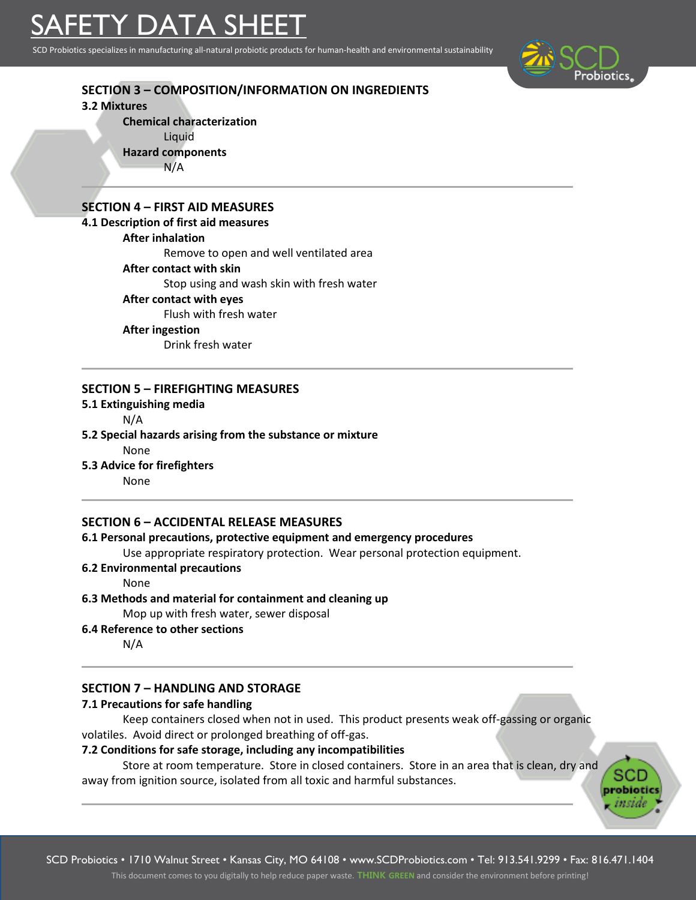# SAFETY DATA SHEET

SCD Probiotics specializes in manufacturing all-natural probiotic products for human-health and environmental sustainability



probiot insid

# **SECTION 3 – COMPOSITION/INFORMATION ON INGREDIENTS**

**3.2 Mixtures**

**Chemical characterization**

Liquid

**Hazard components**

N/A

# **SECTION 4 – FIRST AID MEASURES**

## **4.1 Description of first aid measures**

**After inhalation**

Remove to open and well ventilated area

**After contact with skin**

Stop using and wash skin with fresh water

## **After contact with eyes**

Flush with fresh water

#### **After ingestion**

Drink fresh water

## **SECTION 5 – FIREFIGHTING MEASURES**

**5.1 Extinguishing media**

N/A

## **5.2 Special hazards arising from the substance or mixture**

None

**5.3 Advice for firefighters**

None

## **SECTION 6 – ACCIDENTAL RELEASE MEASURES**

## **6.1 Personal precautions, protective equipment and emergency procedures**

Use appropriate respiratory protection. Wear personal protection equipment.

## **6.2 Environmental precautions**

None

**6.3 Methods and material for containment and cleaning up**

Mop up with fresh water, sewer disposal

**6.4 Reference to other sections**

N/A

## **SECTION 7 – HANDLING AND STORAGE**

## **7.1 Precautions for safe handling**

Keep containers closed when not in used. This product presents weak off-gassing or organic volatiles. Avoid direct or prolonged breathing of off-gas.

## **7.2 Conditions for safe storage, including any incompatibilities**

Store at room temperature. Store in closed containers. Store in an area that is clean, dry and away from ignition source, isolated from all toxic and harmful substances.

SCD Probiotics • 1710 Walnut Street • Kansas City, MO 64108 • www.SCDProbiotics.com • Tel: 913.541.9299 • Fax: 816.471.1404 This document comes to you digitally to help reduce paper waste. **THINK GREEN** and consider the environment before printing!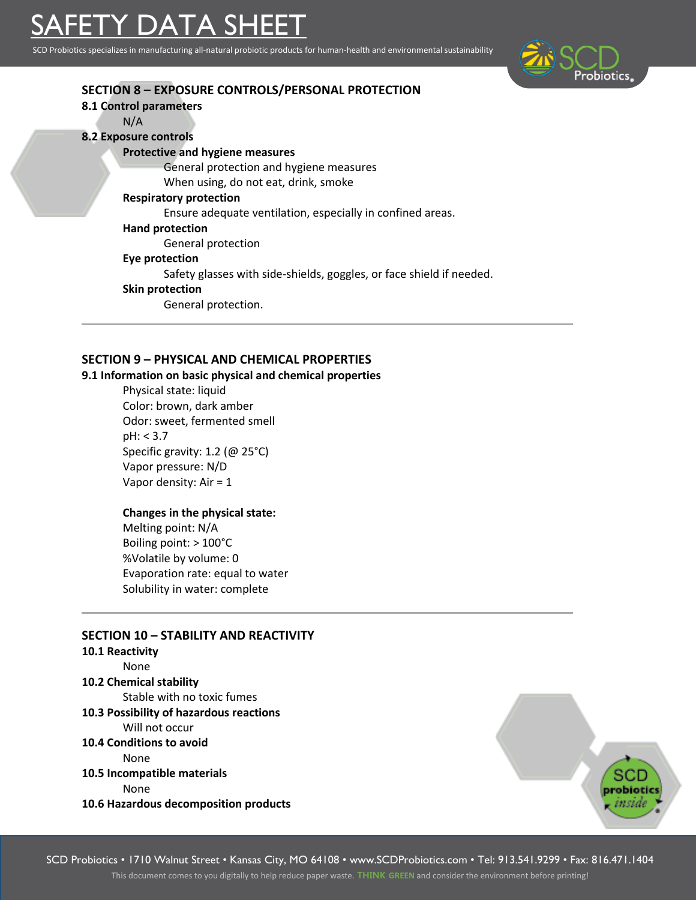SCD Probiotics specializes in manufacturing all-natural probiotic products for human-health and environmental sustainability



| <b>SECTION 8 - EXPOSURE CONTROLS/PERSONAL PROTECTION</b>             |
|----------------------------------------------------------------------|
| 8.1 Control parameters                                               |
| N/A                                                                  |
| <b>8.2 Exposure controls</b>                                         |
| <b>Protective and hygiene measures</b>                               |
| General protection and hygiene measures                              |
| When using, do not eat, drink, smoke                                 |
| <b>Respiratory protection</b>                                        |
| Ensure adequate ventilation, especially in confined areas.           |
| <b>Hand protection</b>                                               |
| General protection                                                   |
| Eye protection                                                       |
| Safety glasses with side-shields, goggles, or face shield if needed. |
| <b>Skin protection</b>                                               |
| General protection.                                                  |
|                                                                      |

## **SECTION 9 – PHYSICAL AND CHEMICAL PROPERTIES**

#### **9.1 Information on basic physical and chemical properties**

Physical state: liquid Color: brown, dark amber Odor: sweet, fermented smell pH: < 3.7 Specific gravity: 1.2 (@ 25°C) Vapor pressure: N/D Vapor density: Air = 1

## **Changes in the physical state:**

Melting point: N/A Boiling point: > 100°C %Volatile by volume: 0 Evaporation rate: equal to water Solubility in water: complete

# **SECTION 10 – STABILITY AND REACTIVITY 10.1 Reactivity** None **10.2 Chemical stability** Stable with no toxic fumes **10.3 Possibility of hazardous reactions** Will not occur **10.4 Conditions to avoid**  None **10.5 Incompatible materials** None

**10.6 Hazardous decomposition products**



SCD Probiotics • 1710 Walnut Street • Kansas City, MO 64108 • www.SCDProbiotics.com • Tel: 913.541.9299 • Fax: 816.471.1404

This document comes to you digitally to help reduce paper waste. **THINK GREEN** and consider the environment before printing!